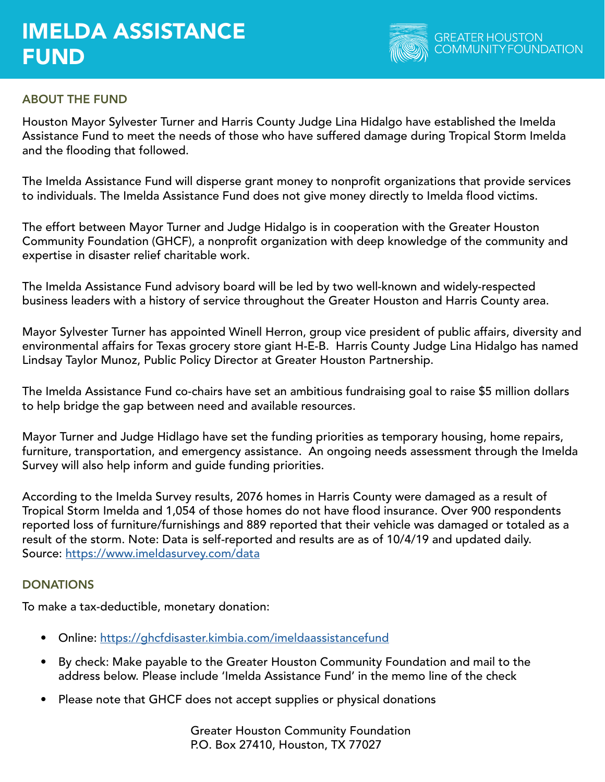# IMELDA ASSISTANCE FUND



## ABOUT THE FUND

Houston Mayor Sylvester Turner and Harris County Judge Lina Hidalgo have established the Imelda Assistance Fund to meet the needs of those who have suffered damage during Tropical Storm Imelda and the flooding that followed.

The Imelda Assistance Fund will disperse grant money to nonprofit organizations that provide services to individuals. The Imelda Assistance Fund does not give money directly to Imelda flood victims.

The effort between Mayor Turner and Judge Hidalgo is in cooperation with the Greater Houston Community Foundation (GHCF), a nonprofit organization with deep knowledge of the community and expertise in disaster relief charitable work.

The Imelda Assistance Fund advisory board will be led by two well-known and widely-respected business leaders with a history of service throughout the Greater Houston and Harris County area.

Mayor Sylvester Turner has appointed Winell Herron, group vice president of public affairs, diversity and environmental affairs for Texas grocery store giant H-E-B. Harris County Judge Lina Hidalgo has named Lindsay Taylor Munoz, Public Policy Director at Greater Houston Partnership.

The Imelda Assistance Fund co-chairs have set an ambitious fundraising goal to raise \$5 million dollars to help bridge the gap between need and available resources.

Mayor Turner and Judge Hidlago have set the funding priorities as temporary housing, home repairs, furniture, transportation, and emergency assistance. An ongoing needs assessment through the Imelda Survey will also help inform and guide funding priorities.

According to the Imelda Survey results, 2076 homes in Harris County were damaged as a result of Tropical Storm Imelda and 1,054 of those homes do not have flood insurance. Over 900 respondents reported loss of furniture/furnishings and 889 reported that their vehicle was damaged or totaled as a result of the storm. Note: Data is self-reported and results are as of 10/4/19 and updated daily. Source:<https://www.imeldasurvey.com/data>

#### **DONATIONS**

To make a tax-deductible, monetary donation:

- Online:<https://ghcfdisaster.kimbia.com/imeldaassistancefund>
- By check: Make payable to the Greater Houston Community Foundation and mail to the address below. Please include 'Imelda Assistance Fund' in the memo line of the check
- Please note that GHCF does not accept supplies or physical donations

Greater Houston Community Foundation P.O. Box 27410, Houston, TX 77027